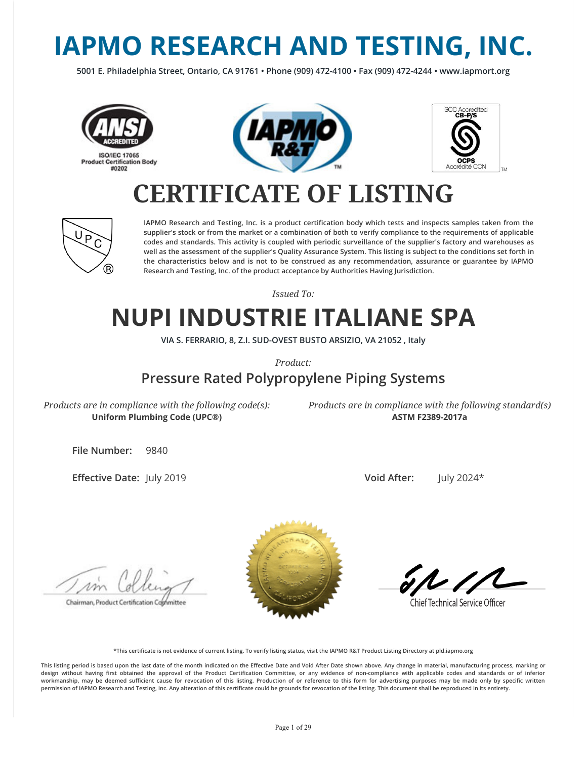# **IAPMO RESEARCH AND TESTING, INC.**

**5001 E. Philadelphia Street, Ontario, CA 91761 • Phone (909) 472-4100 • Fax (909) 472-4244 • www.iapmort.org**







### **CERTIFICATE OF LISTING**



**IAPMO Research and Testing, Inc. is a product certication body which tests and inspects samples taken from the supplier's stock or from the market or a combination of both to verify compliance to the requirements of applicable codes and standards. This activity is coupled with periodic surveillance of the supplier's factory and warehouses as well as the assessment of the supplier's Quality Assurance System. This listing is subject to the conditions set forth in the characteristics below and is not to be construed as any recommendation, assurance or guarantee by IAPMO Research and Testing, Inc. of the product acceptance by Authorities Having Jurisdiction.**

*Issued To:*

### **NUPI INDUSTRIE ITALIANE SPA**

**VIA S. FERRARIO, 8, Z.I. SUD-OVEST BUSTO ARSIZIO, VA 21052 , Italy**

*Product:*

### **Pressure Rated Polypropylene Piping Systems**

*Products are in compliance with the following code(s):* **Uniform Plumbing Code (UPC®)**

*Products are in compliance with the following standard(s)* **ASTM F2389-2017a**

**File Number:** 9840

**Effective Date: July 2019** 

**Void After:** July 2024\*

Chairman, Product Certification Cophmittee



**Chief Technical Service Officer** 

**\*This certicate is not evidence of current listing. To verify listing status, visit the IAPMO R&T Product Listing Directory at pld.iapmo.org**

This listing period is based upon the last date of the month indicated on the Effective Date and Void After Date shown above. Any change in material, manufacturing process, marking or design without having first obtained the approval of the Product Certification Committee, or any evidence of non-compliance with applicable codes and standards or of inferior workmanship, may be deemed sufficient cause for revocation of this listing. Production of or reference to this form for advertising purposes may be made only by specific written **permission of IAPMO Research and Testing, Inc. Any alteration of this certicate could be grounds for revocation of the listing. This document shall be reproduced in its entirety.**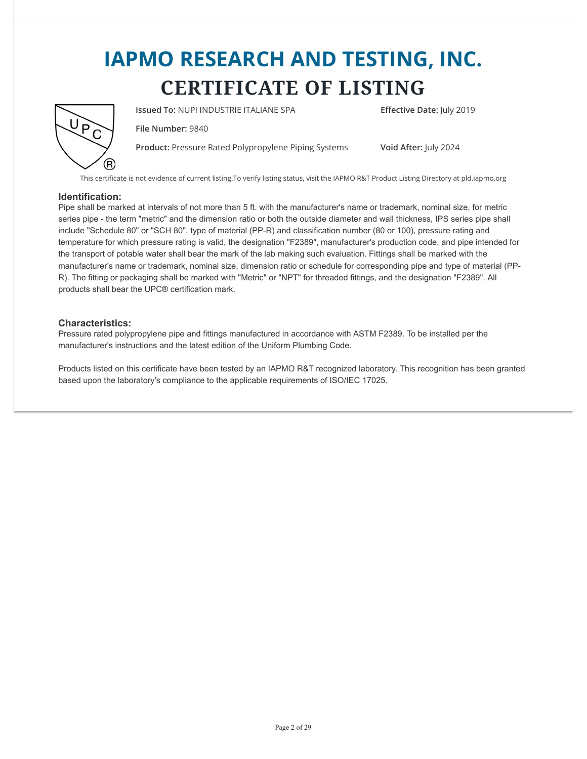

**Issued To:** NUPI INDUSTRIE ITALIANE SPA **Effective Date:** July 2019

**File Number:** 9840

**Product:** Pressure Rated Polypropylene Piping Systems **Void After:** July 2024

This certificate is not evidence of current listing.To verify listing status, visit the IAPMO R&T Product Listing Directory at pld.iapmo.org

#### **Identification:**

Pipe shall be marked at intervals of not more than 5 ft. with the manufacturer's name or trademark, nominal size, for metric series pipe - the term "metric" and the dimension ratio or both the outside diameter and wall thickness, IPS series pipe shall include "Schedule 80" or "SCH 80", type of material (PP-R) and classification number (80 or 100), pressure rating and temperature for which pressure rating is valid, the designation "F2389", manufacturer's production code, and pipe intended for the transport of potable water shall bear the mark of the lab making such evaluation. Fittings shall be marked with the manufacturer's name or trademark, nominal size, dimension ratio or schedule for corresponding pipe and type of material (PP-R). The fitting or packaging shall be marked with "Metric" or "NPT" for threaded fittings, and the designation "F2389". All products shall bear the UPC® certification mark.

#### **Characteristics:**

Pressure rated polypropylene pipe and fittings manufactured in accordance with ASTM F2389. To be installed per the manufacturer's instructions and the latest edition of the Uniform Plumbing Code.

Products listed on this certificate have been tested by an IAPMO R&T recognized laboratory. This recognition has been granted based upon the laboratory's compliance to the applicable requirements of ISO/IEC 17025.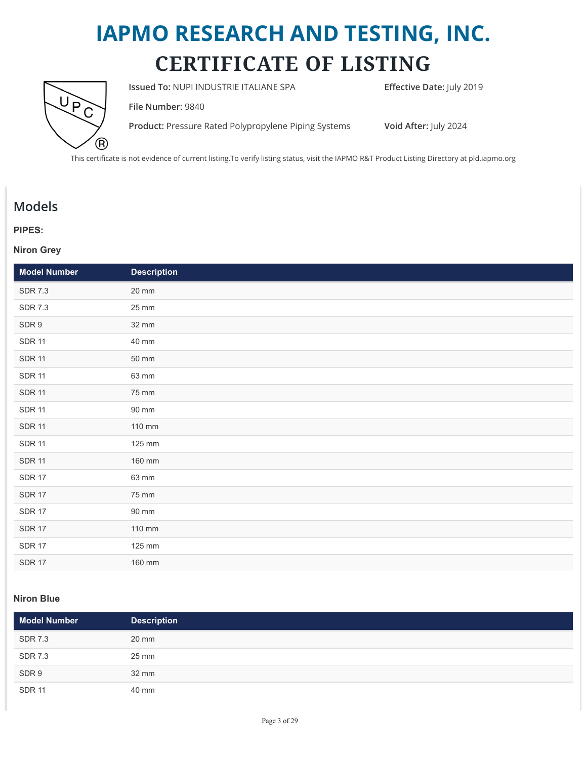

**Issued To: NUPI INDUSTRIE ITALIANE SPA <b>Effective Date:** July 2019

**File Number:** 9840

**Product:** Pressure Rated Polypropylene Piping Systems **Void After:** July 2024

This certificate is not evidence of current listing.To verify listing status, visit the IAPMO R&T Product Listing Directory at pld.iapmo.org

### **Models**

#### **PIPES:**

#### **Niron Grey**

| <b>Model Number</b> | <b>Description</b> |
|---------------------|--------------------|
| <b>SDR 7.3</b>      | 20 mm              |
| <b>SDR 7.3</b>      | 25 mm              |
| SDR 9               | 32 mm              |
| <b>SDR 11</b>       | 40 mm              |
| <b>SDR 11</b>       | 50 mm              |
| <b>SDR 11</b>       | 63 mm              |
| <b>SDR 11</b>       | 75 mm              |
| <b>SDR 11</b>       | 90 mm              |
| <b>SDR 11</b>       | 110 mm             |
| <b>SDR 11</b>       | 125 mm             |
| <b>SDR 11</b>       | 160 mm             |
| <b>SDR 17</b>       | 63 mm              |
| <b>SDR 17</b>       | 75 mm              |
| <b>SDR 17</b>       | 90 mm              |
| <b>SDR 17</b>       | 110 mm             |
| <b>SDR 17</b>       | 125 mm             |
| <b>SDR 17</b>       | 160 mm             |

#### **Niron Blue**

| Model Number   | <b>Description</b> |
|----------------|--------------------|
| <b>SDR 7.3</b> | 20 mm              |
| <b>SDR 7.3</b> | 25 mm              |
| SDR 9          | 32 mm              |
| <b>SDR 11</b>  | 40 mm              |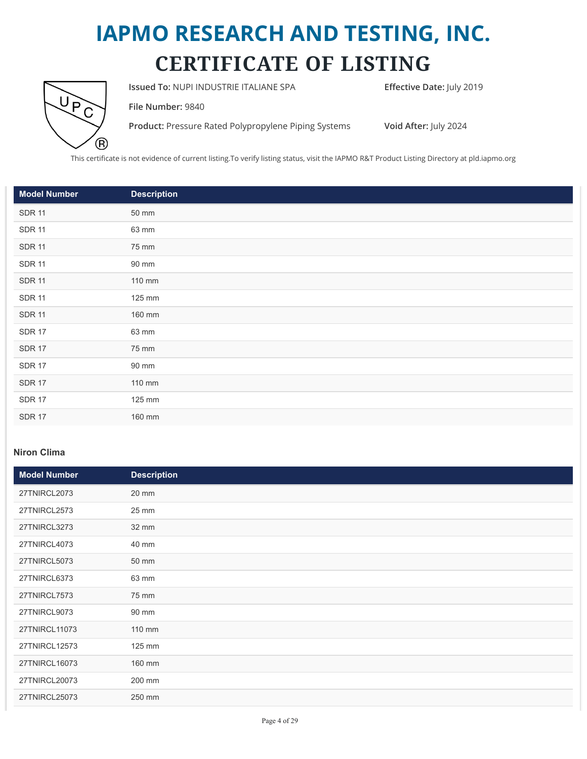

**Issued To: NUPI INDUSTRIE ITALIANE SPA <b>Effective Date:** July 2019

**File Number:** 9840

**Product:** Pressure Rated Polypropylene Piping Systems **Void After:** July 2024

This certificate is not evidence of current listing.To verify listing status, visit the IAPMO R&T Product Listing Directory at pld.iapmo.org

| <b>Model Number</b> | <b>Description</b> |
|---------------------|--------------------|
| <b>SDR 11</b>       | 50 mm              |
| <b>SDR 11</b>       | 63 mm              |
| <b>SDR 11</b>       | 75 mm              |
| <b>SDR 11</b>       | 90 mm              |
| <b>SDR 11</b>       | 110 mm             |
| <b>SDR 11</b>       | 125 mm             |
| <b>SDR 11</b>       | 160 mm             |
| <b>SDR 17</b>       | 63 mm              |
| <b>SDR 17</b>       | 75 mm              |
| <b>SDR 17</b>       | 90 mm              |
| <b>SDR 17</b>       | 110 mm             |
| <b>SDR 17</b>       | 125 mm             |
| <b>SDR 17</b>       | 160 mm             |

#### **Niron Clima**

| <b>Model Number</b> | <b>Description</b> |
|---------------------|--------------------|
| 27TNIRCL2073        | 20 mm              |
| 27TNIRCL2573        | 25 mm              |
| 27TNIRCL3273        | 32 mm              |
| 27TNIRCL4073        | 40 mm              |
| 27TNIRCL5073        | 50 mm              |
| 27TNIRCL6373        | 63 mm              |
| 27TNIRCL7573        | 75 mm              |
| 27TNIRCL9073        | 90 mm              |
| 27TNIRCL11073       | 110 mm             |
| 27TNIRCL12573       | 125 mm             |
| 27TNIRCL16073       | 160 mm             |
| 27TNIRCL20073       | 200 mm             |
| 27TNIRCL25073       | 250 mm             |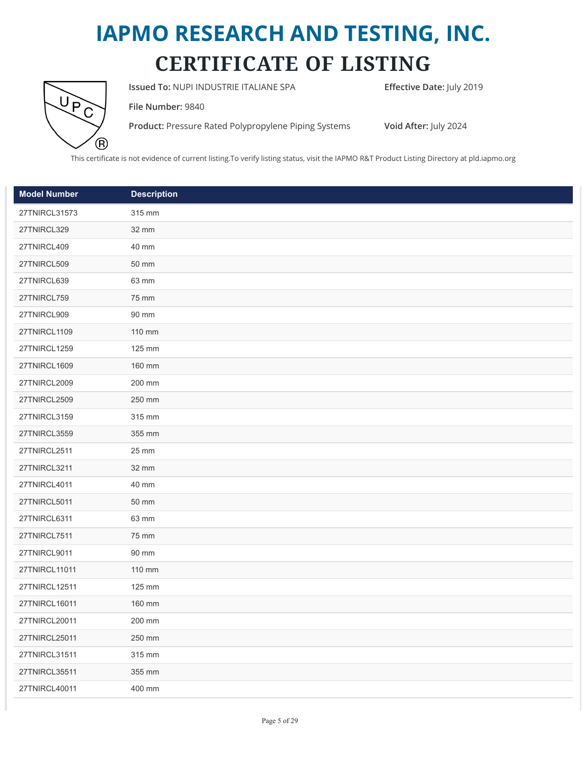

**Issued To: NUPI INDUSTRIE ITALIANE SPA <b>Effective Date:** July 2019

**File Number:** 9840

**Product:** Pressure Rated Polypropylene Piping Systems **Void After:** July 2024

This certificate is not evidence of current listing.To verify listing status, visit the IAPMO R&T Product Listing Directory at pld.iapmo.org

| <b>Model Number</b> | <b>Description</b> |
|---------------------|--------------------|
| 27TNIRCL31573       | 315 mm             |
| 27TNIRCL329         | 32 mm              |
| 27TNIRCL409         | 40 mm              |
| 27TNIRCL509         | 50 mm              |
| 27TNIRCL639         | 63 mm              |
| 27TNIRCL759         | 75 mm              |
| 27TNIRCL909         | 90 mm              |
| 27TNIRCL1109        | 110 mm             |
| 27TNIRCL1259        | 125 mm             |
| 27TNIRCL1609        | 160 mm             |
| 27TNIRCL2009        | 200 mm             |
| 27TNIRCL2509        | 250 mm             |
| 27TNIRCL3159        | 315 mm             |
| 27TNIRCL3559        | 355 mm             |
| 27TNIRCL2511        | 25 mm              |
| 27TNIRCL3211        | 32 mm              |
| 27TNIRCL4011        | 40 mm              |
| 27TNIRCL5011        | 50 mm              |
| 27TNIRCL6311        | 63 mm              |
| 27TNIRCL7511        | 75 mm              |
| 27TNIRCL9011        | 90 mm              |
| 27TNIRCL11011       | 110 mm             |
| 27TNIRCL12511       | 125 mm             |
| 27TNIRCL16011       | 160 mm             |
| 27TNIRCL20011       | 200 mm             |
| 27TNIRCL25011       | 250 mm             |
| 27TNIRCL31511       | 315 mm             |
| 27TNIRCL35511       | 355 mm             |
| 27TNIRCL40011       | 400 mm             |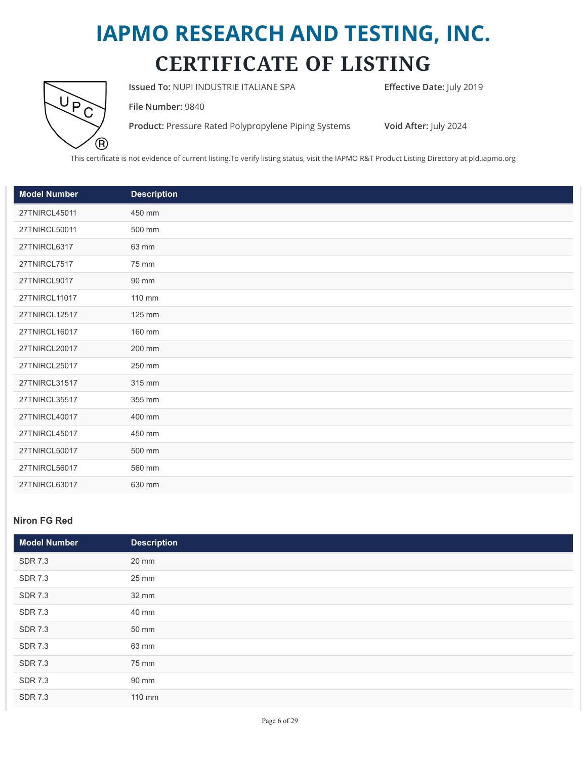

**Issued To: NUPI INDUSTRIE ITALIANE SPA <b>Effective Date:** July 2019

**File Number:** 9840

**Product:** Pressure Rated Polypropylene Piping Systems **Void After:** July 2024

This certificate is not evidence of current listing.To verify listing status, visit the IAPMO R&T Product Listing Directory at pld.iapmo.org

| <b>Model Number</b> | <b>Description</b> |
|---------------------|--------------------|
| 27TNIRCL45011       | 450 mm             |
| 27TNIRCL50011       | 500 mm             |
| 27TNIRCL6317        | 63 mm              |
| <b>27TNIRCL7517</b> | 75 mm              |
| 27TNIRCL9017        | 90 mm              |
| 27TNIRCL11017       | 110 mm             |
| 27TNIRCL12517       | 125 mm             |
| 27TNIRCL16017       | 160 mm             |
| 27TNIRCL20017       | 200 mm             |
| 27TNIRCL25017       | 250 mm             |
| 27TNIRCL31517       | 315 mm             |
| 27TNIRCL35517       | 355 mm             |
| 27TNIRCL40017       | 400 mm             |
| 27TNIRCL45017       | 450 mm             |
| 27TNIRCL50017       | 500 mm             |
| 27TNIRCL56017       | 560 mm             |
| 27TNIRCL63017       | 630 mm             |

#### **Niron FG Red**

| Model Number   | <b>Description</b> |
|----------------|--------------------|
| <b>SDR 7.3</b> | 20 mm              |
| <b>SDR 7.3</b> | 25 mm              |
| <b>SDR 7.3</b> | 32 mm              |
| <b>SDR 7.3</b> | 40 mm              |
| <b>SDR 7.3</b> | 50 mm              |
| <b>SDR 7.3</b> | 63 mm              |
| <b>SDR 7.3</b> | 75 mm              |
| <b>SDR 7.3</b> | 90 mm              |
| <b>SDR 7.3</b> | 110 mm             |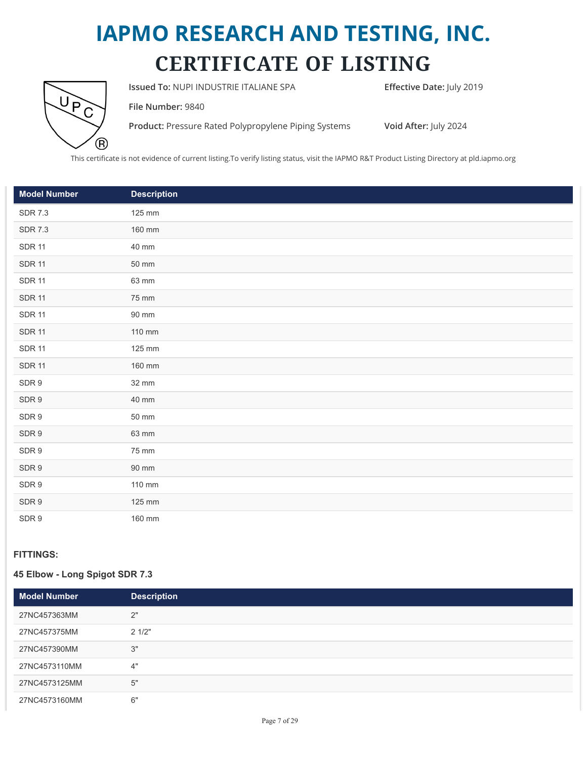

**Issued To: NUPI INDUSTRIE ITALIANE SPA <b>Effective Date:** July 2019

**File Number:** 9840

**Product:** Pressure Rated Polypropylene Piping Systems **Void After:** July 2024

This certificate is not evidence of current listing.To verify listing status, visit the IAPMO R&T Product Listing Directory at pld.iapmo.org

| <b>Model Number</b> | <b>Description</b>  |
|---------------------|---------------------|
| <b>SDR 7.3</b>      | 125 mm              |
| <b>SDR 7.3</b>      | 160 mm              |
| <b>SDR 11</b>       | 40 mm               |
| <b>SDR 11</b>       | 50 mm               |
| <b>SDR 11</b>       | 63 mm               |
| <b>SDR 11</b>       | 75 mm               |
| <b>SDR 11</b>       | 90 mm               |
| <b>SDR 11</b>       | 110 mm              |
| <b>SDR 11</b>       | 125 mm              |
| <b>SDR 11</b>       | 160 mm              |
| SDR 9               | 32 mm               |
| SDR 9               | 40 mm               |
| SDR 9               | $50 \; \mathrm{mm}$ |
| SDR 9               | 63 mm               |
| SDR 9               | 75 mm               |
| SDR 9               | 90 mm               |
| SDR 9               | 110 mm              |
| SDR 9               | 125 mm              |
| SDR 9               | 160 mm              |

#### **FITTINGS:**

#### **45 Elbow - Long Spigot SDR 7.3**

| <b>Model Number</b> | <b>Description</b> |
|---------------------|--------------------|
| 27NC457363MM        | 2"                 |
| 27NC457375MM        | 21/2"              |
| 27NC457390MM        | 3"                 |
| 27NC4573110MM       | 4"                 |
| 27NC4573125MM       | 5"                 |
| 27NC4573160MM       | 6"                 |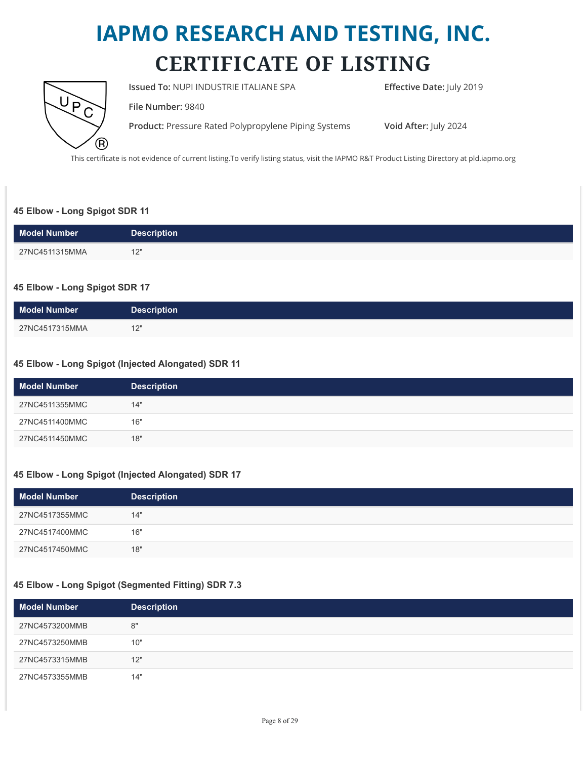

**Issued To: NUPI INDUSTRIE ITALIANE SPA Effective Date:** July 2019

**File Number:** 9840

**Product:** Pressure Rated Polypropylene Piping Systems **Void After:** July 2024

This certificate is not evidence of current listing.To verify listing status, visit the IAPMO R&T Product Listing Directory at pld.iapmo.org

#### **45 Elbow - Long Spigot SDR 11**

| <b>Model Number</b> | <b>Description</b> |
|---------------------|--------------------|
| 27NC4511315MMA      | 12"<br>$\sim$      |

#### **45 Elbow - Long Spigot SDR 17**

| <b>Model Number</b> | <b>Description</b> |
|---------------------|--------------------|
| 27NC4517315MMA      | 12"                |

#### **45 Elbow - Long Spigot (Injected Alongated) SDR 11**

| <b>Model Number</b> | <b>Description</b> |
|---------------------|--------------------|
| 27NC4511355MMC      | 14"                |
| 27NC4511400MMC      | 16"                |
| 27NC4511450MMC      | 18"                |

#### **45 Elbow - Long Spigot (Injected Alongated) SDR 17**

| <b>Model Number</b> | <b>Description</b> |
|---------------------|--------------------|
| 27NC4517355MMC      | 14"                |
| 27NC4517400MMC      | 16"                |
| 27NC4517450MMC      | 18"                |

#### **45 Elbow - Long Spigot (Segmented Fitting) SDR 7.3**

| <b>Model Number</b> | <b>Description</b> |  |
|---------------------|--------------------|--|
| 27NC4573200MMB      | 8"                 |  |
| 27NC4573250MMB      | 10"                |  |
| 27NC4573315MMB      | 12"                |  |
| 27NC4573355MMB      | 14"                |  |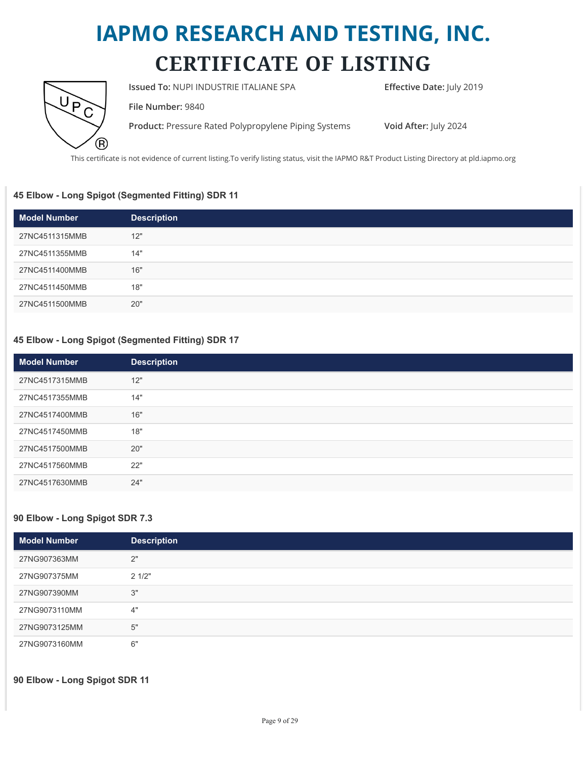

**Issued To: NUPI INDUSTRIE ITALIANE SPA Effective Date:** July 2019

**File Number:** 9840

**Product:** Pressure Rated Polypropylene Piping Systems **Void After:** July 2024

This certificate is not evidence of current listing.To verify listing status, visit the IAPMO R&T Product Listing Directory at pld.iapmo.org

#### **45 Elbow - Long Spigot (Segmented Fitting) SDR 11**

| <b>Model Number</b> | <b>Description</b> |
|---------------------|--------------------|
| 27NC4511315MMB      | 12"                |
| 27NC4511355MMB      | 14"                |
| 27NC4511400MMB      | 16"                |
| 27NC4511450MMB      | 18"                |
| 27NC4511500MMB      | 20"                |

#### **45 Elbow - Long Spigot (Segmented Fitting) SDR 17**

| <b>Model Number</b> | <b>Description</b> |
|---------------------|--------------------|
| 27NC4517315MMB      | 12"                |
| 27NC4517355MMB      | 14"                |
| 27NC4517400MMB      | 16"                |
| 27NC4517450MMB      | 18"                |
| 27NC4517500MMB      | 20"                |
| 27NC4517560MMB      | 22"                |
| 27NC4517630MMB      | 24"                |

#### **90 Elbow - Long Spigot SDR 7.3**

| <b>Model Number</b> | <b>Description</b> |
|---------------------|--------------------|
| 27NG907363MM        | 2"                 |
| 27NG907375MM        | 21/2"              |
| 27NG907390MM        | 3"                 |
| 27NG9073110MM       | 4"                 |
| 27NG9073125MM       | 5"                 |
| 27NG9073160MM       | 6"                 |

**90 Elbow - Long Spigot SDR 11**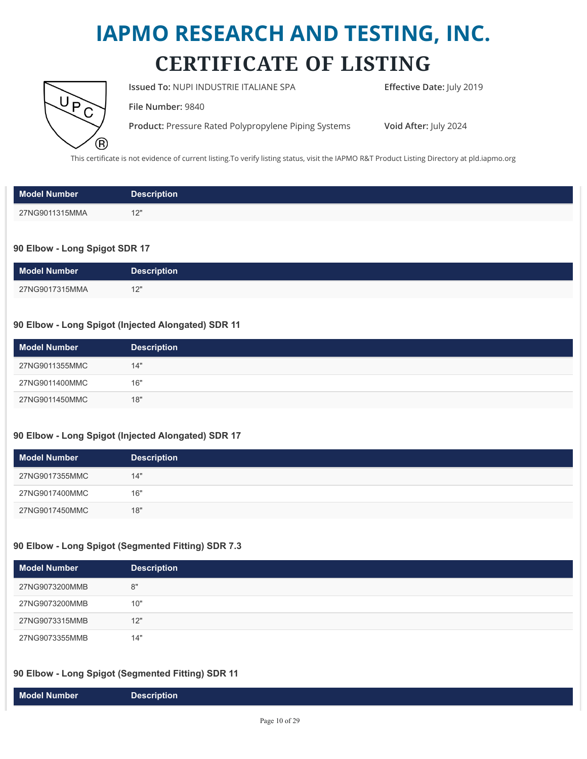

**Issued To: NUPI INDUSTRIE ITALIANE SPA Effective Date:** July 2019

**File Number:** 9840

**Product:** Pressure Rated Polypropylene Piping Systems **Void After:** July 2024

This certificate is not evidence of current listing.To verify listing status, visit the IAPMO R&T Product Listing Directory at pld.iapmo.org

| <b>Model Number</b> | <b>Description</b> |
|---------------------|--------------------|
| 27NG9011315MMA      | 101                |

#### **90 Elbow - Long Spigot SDR 17**

| <b>Model Number</b> | <b>Description</b> |
|---------------------|--------------------|
| 27NG9017315MMA      | 12"<br>ॱ           |

#### **90 Elbow - Long Spigot (Injected Alongated) SDR 11**

| <b>Model Number</b> | <b>Description</b> |
|---------------------|--------------------|
| 27NG9011355MMC      | 14"                |
| 27NG9011400MMC      | 16"                |
| 27NG9011450MMC      | 18"                |

#### **90 Elbow - Long Spigot (Injected Alongated) SDR 17**

| <b>Model Number</b> | <b>Description</b> |
|---------------------|--------------------|
| 27NG9017355MMC      | 14"                |
| 27NG9017400MMC      | 16"                |
| 27NG9017450MMC      | 18"                |

#### **90 Elbow - Long Spigot (Segmented Fitting) SDR 7.3**

| <b>Model Number</b> | <b>Description</b> |
|---------------------|--------------------|
| 27NG9073200MMB      | 8"                 |
| 27NG9073200MMB      | 10"                |
| 27NG9073315MMB      | 12"                |
| 27NG9073355MMB      | 14"                |

#### **90 Elbow - Long Spigot (Segmented Fitting) SDR 11**

|--|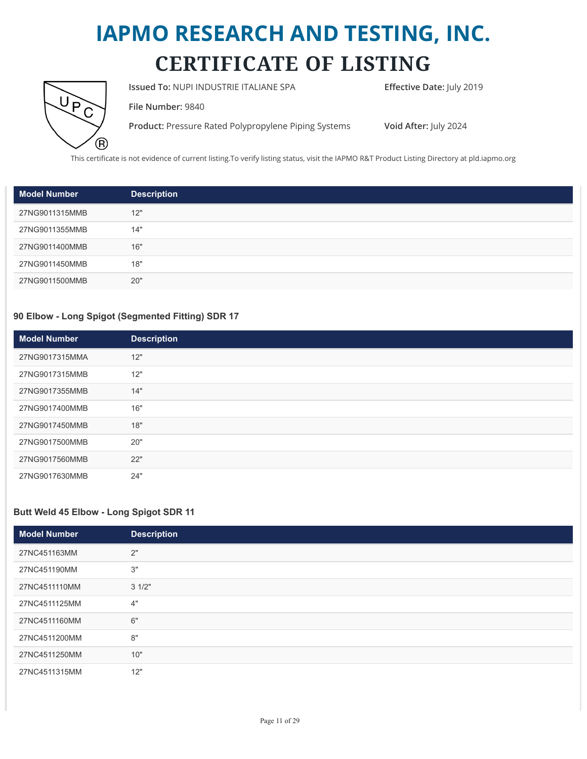

**Issued To: NUPI INDUSTRIE ITALIANE SPA Effective Date:** July 2019

**File Number:** 9840

**Product:** Pressure Rated Polypropylene Piping Systems **Void After:** July 2024

This certificate is not evidence of current listing.To verify listing status, visit the IAPMO R&T Product Listing Directory at pld.iapmo.org

| <b>Model Number</b> | <b>Description</b> |
|---------------------|--------------------|
| 27NG9011315MMB      | 12"                |
| 27NG9011355MMB      | 14"                |
| 27NG9011400MMB      | 16"                |
| 27NG9011450MMB      | 18"                |
| 27NG9011500MMB      | 20"                |

#### **90 Elbow - Long Spigot (Segmented Fitting) SDR 17**

| <b>Model Number</b> | <b>Description</b> |
|---------------------|--------------------|
| 27NG9017315MMA      | 12"                |
| 27NG9017315MMB      | 12"                |
| 27NG9017355MMB      | 14"                |
| 27NG9017400MMB      | 16"                |
| 27NG9017450MMB      | 18"                |
| 27NG9017500MMB      | 20"                |
| 27NG9017560MMB      | 22"                |
| 27NG9017630MMB      | 24"                |

#### **Butt Weld 45 Elbow - Long Spigot SDR 11**

| <b>Model Number</b> | <b>Description</b> |
|---------------------|--------------------|
| 27NC451163MM        | 2"                 |
| 27NC451190MM        | 3"                 |
| 27NC4511110MM       | 31/2"              |
| 27NC4511125MM       | 4"                 |
| 27NC4511160MM       | 6"                 |
| 27NC4511200MM       | 8"                 |
| 27NC4511250MM       | 10"                |
| 27NC4511315MM       | 12"                |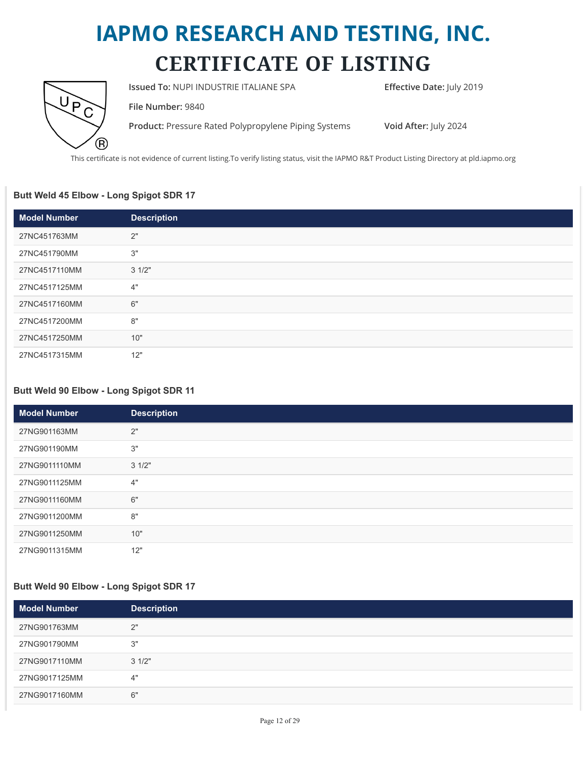

**Issued To: NUPI INDUSTRIE ITALIANE SPA Effective Date:** July 2019

**File Number:** 9840

**Product:** Pressure Rated Polypropylene Piping Systems **Void After:** July 2024

This certificate is not evidence of current listing.To verify listing status, visit the IAPMO R&T Product Listing Directory at pld.iapmo.org

#### **Butt Weld 45 Elbow - Long Spigot SDR 17**

| <b>Model Number</b> | <b>Description</b> |
|---------------------|--------------------|
| 27NC451763MM        | 2"                 |
| 27NC451790MM        | 3"                 |
| 27NC4517110MM       | 31/2"              |
| 27NC4517125MM       | 4"                 |
| 27NC4517160MM       | 6"                 |
| 27NC4517200MM       | 8"                 |
| 27NC4517250MM       | 10"                |
| 27NC4517315MM       | 12"                |

#### **Butt Weld 90 Elbow - Long Spigot SDR 11**

| <b>Model Number</b> | <b>Description</b> |
|---------------------|--------------------|
| 27NG901163MM        | 2"                 |
| 27NG901190MM        | 3"                 |
| 27NG9011110MM       | 31/2"              |
| 27NG9011125MM       | 4"                 |
| 27NG9011160MM       | 6"                 |
| 27NG9011200MM       | 8"                 |
| 27NG9011250MM       | 10"                |
| 27NG9011315MM       | 12"                |

#### **Butt Weld 90 Elbow - Long Spigot SDR 17**

| Model Number  | <b>Description</b> |
|---------------|--------------------|
| 27NG901763MM  | 2"                 |
| 27NG901790MM  | 3"                 |
| 27NG9017110MM | 31/2"              |
| 27NG9017125MM | 4"                 |
| 27NG9017160MM | 6"                 |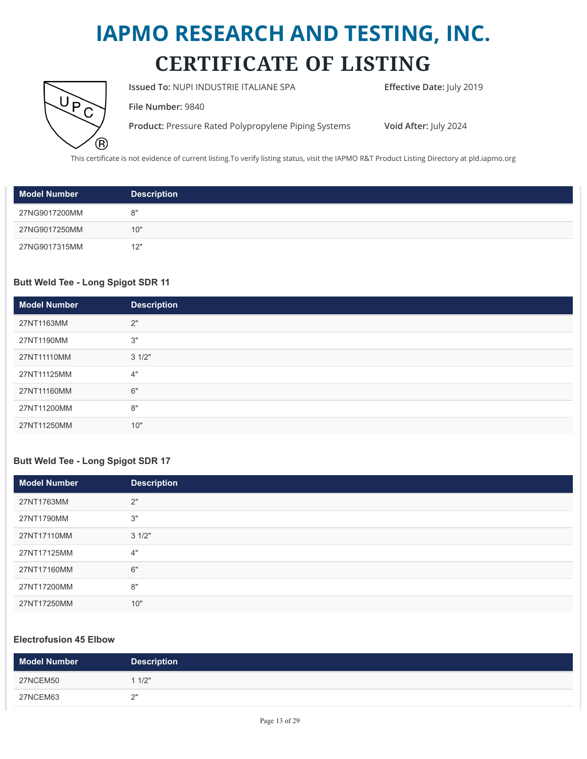

**Issued To: NUPI INDUSTRIE ITALIANE SPA Effective Date:** July 2019

**File Number:** 9840

**Product:** Pressure Rated Polypropylene Piping Systems **Void After:** July 2024

This certificate is not evidence of current listing.To verify listing status, visit the IAPMO R&T Product Listing Directory at pld.iapmo.org

| <b>Model Number</b> | <b>Description</b> |
|---------------------|--------------------|
| 27NG9017200MM       | 8"                 |
| 27NG9017250MM       | 10"                |
| 27NG9017315MM       | 12"                |

#### **Butt Weld Tee - Long Spigot SDR 11**

| <b>Model Number</b> | <b>Description</b> |
|---------------------|--------------------|
| 27NT1163MM          | 2"                 |
| 27NT1190MM          | 3"                 |
| 27NT11110MM         | 31/2"              |
| 27NT11125MM         | 4"                 |
| 27NT11160MM         | 6"                 |
| 27NT11200MM         | 8"                 |
| 27NT11250MM         | 10"                |

#### **Butt Weld Tee - Long Spigot SDR 17**

| <b>Model Number</b> | <b>Description</b> |
|---------------------|--------------------|
| 27NT1763MM          | 2"                 |
| 27NT1790MM          | 3"                 |
| 27NT17110MM         | 31/2"              |
| 27NT17125MM         | 4"                 |
| 27NT17160MM         | 6"                 |
| 27NT17200MM         | 8"                 |
| 27NT17250MM         | 10"                |

#### **Electrofusion 45 Elbow**

| <b>Model Number</b> | <b>Description</b> |
|---------------------|--------------------|
| 27NCEM50            | 1/2"               |
| 27NCEM63            | ິ                  |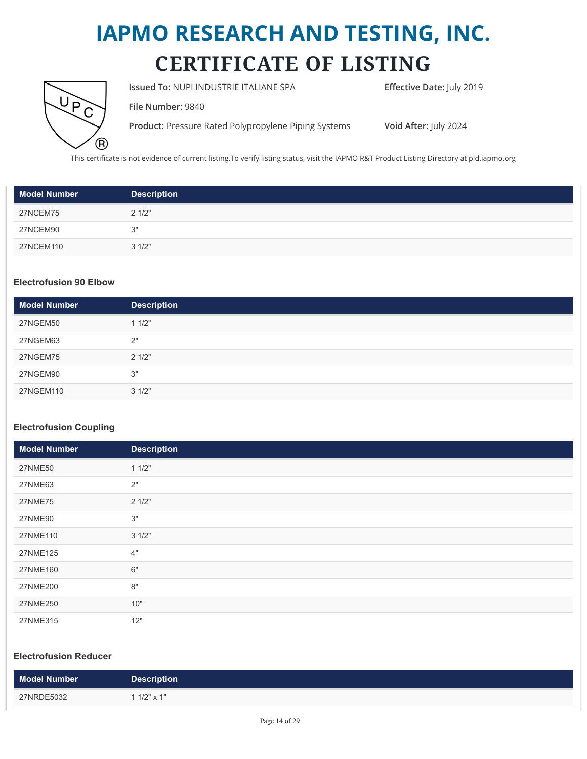

**Issued To: NUPI INDUSTRIE ITALIANE SPA <b>Effective Date:** July 2019

**File Number:** 9840

**Product:** Pressure Rated Polypropylene Piping Systems **Void After:** July 2024

This certificate is not evidence of current listing.To verify listing status, visit the IAPMO R&T Product Listing Directory at pld.iapmo.org

| <b>Model Number</b> | <b>Description</b> |
|---------------------|--------------------|
| 27NCEM75            | 21/2"              |
| 27NCEM90            | 3"                 |
| 27NCEM110           | 31/2"              |

#### **Electrofusion 90 Elbow**

| <b>Model Number</b> | <b>Description</b> |
|---------------------|--------------------|
| 27NGEM50            | 11/2"              |
| 27NGEM63            | 2"                 |
| 27NGEM75            | 21/2"              |
| 27NGEM90            | 3"                 |
| 27NGEM110           | 31/2"              |

#### **Electrofusion Coupling**

| <b>Model Number</b> | <b>Description</b> |
|---------------------|--------------------|
| <b>27NME50</b>      | 11/2"              |
| 27NME63             | 2"                 |
| <b>27NME75</b>      | 21/2"              |
| 27NME90             | 3"                 |
| 27NME110            | 31/2"              |
| 27NME125            | 4"                 |
| 27NME160            | 6"                 |
| 27NME200            | 8"                 |
| 27NME250            | 10"                |
| 27NME315            | 12"                |

#### **Electrofusion Reducer**

| Model Number | <b>Description</b> |
|--------------|--------------------|
| 27NRDE5032   | 1 1/2" $\times$ 1" |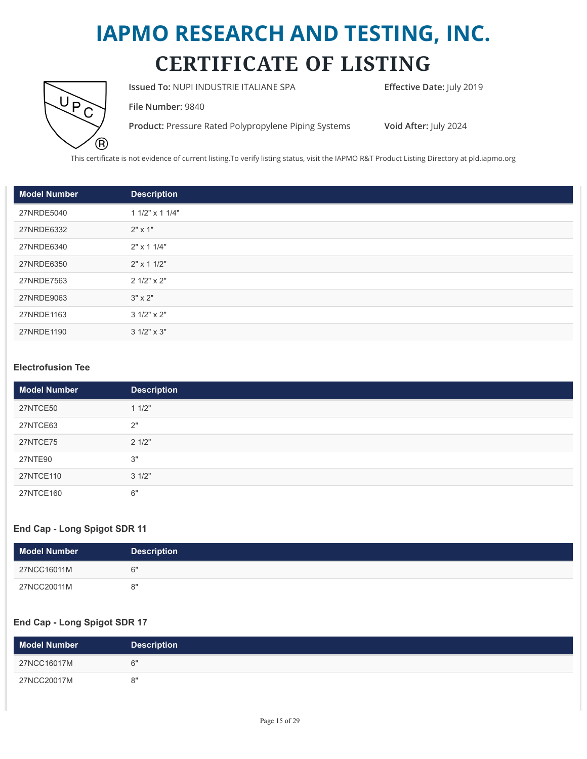

**Issued To: NUPI INDUSTRIE ITALIANE SPA Effective Date:** July 2019

**File Number:** 9840

**Product:** Pressure Rated Polypropylene Piping Systems **Void After:** July 2024

This certificate is not evidence of current listing.To verify listing status, visit the IAPMO R&T Product Listing Directory at pld.iapmo.org

| <b>Model Number</b> | <b>Description</b>   |
|---------------------|----------------------|
| 27NRDE5040          | $11/2$ " x 1 $1/4$ " |
| 27NRDE6332          | $2" \times 1"$       |
| 27NRDE6340          | $2" \times 11/4"$    |
| 27NRDE6350          | $2" \times 11/2"$    |
| 27NRDE7563          | $21/2" \times 2"$    |
| 27NRDE9063          | $3" \times 2"$       |
| 27NRDE1163          | $31/2" \times 2"$    |
| 27NRDE1190          | $31/2" \times 3"$    |

#### **Electrofusion Tee**

| <b>Model Number</b> | <b>Description</b> |
|---------------------|--------------------|
| 27NTCE50            | 11/2"              |
| 27NTCE63            | 2"                 |
| 27NTCE75            | 21/2"              |
| 27NTE90             | 3"                 |
| 27NTCE110           | 31/2"              |
| 27NTCE160           | 6"                 |

#### **End Cap - Long Spigot SDR 11**

| <b>Model Number</b> | <b>Description</b> |
|---------------------|--------------------|
| 27NCC16011M         | հ"                 |
| 27NCC20011M         | י א                |

#### **End Cap - Long Spigot SDR 17**

| <b>Model Number</b> | <b>Description</b> |
|---------------------|--------------------|
| 27NCC16017M         | ี ^"               |
| 27NCC20017M         | יי פ               |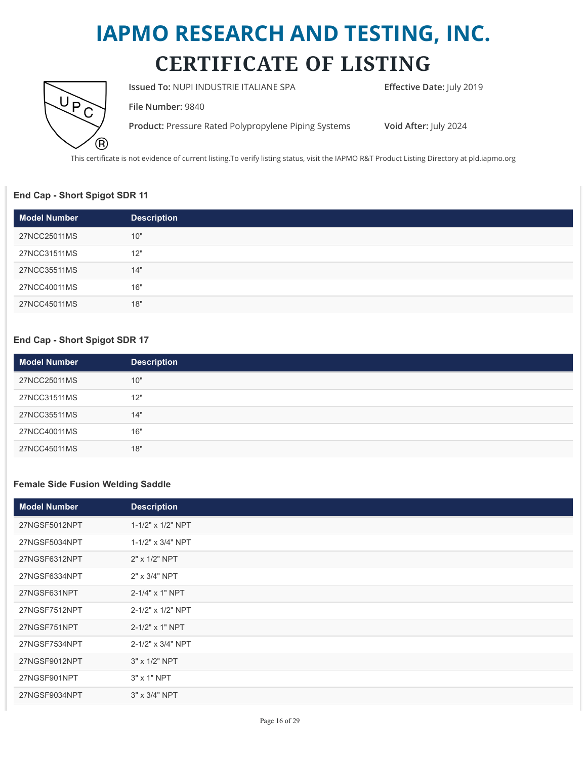

**Issued To: NUPI INDUSTRIE ITALIANE SPA Effective Date:** July 2019

**File Number:** 9840

**Product:** Pressure Rated Polypropylene Piping Systems **Void After:** July 2024

This certificate is not evidence of current listing.To verify listing status, visit the IAPMO R&T Product Listing Directory at pld.iapmo.org

#### **End Cap - Short Spigot SDR 11**

| Model Number | <b>Description</b> |
|--------------|--------------------|
| 27NCC25011MS | 10"                |
| 27NCC31511MS | 12"                |
| 27NCC35511MS | 14"                |
| 27NCC40011MS | 16"                |
| 27NCC45011MS | 18"                |

#### **End Cap - Short Spigot SDR 17**

| <b>Model Number</b> | <b>Description</b> |
|---------------------|--------------------|
| 27NCC25011MS        | 10"                |
| 27NCC31511MS        | 12"                |
| 27NCC35511MS        | 14"                |
| 27NCC40011MS        | 16"                |
| 27NCC45011MS        | 18"                |

#### **Female Side Fusion Welding Saddle**

| <b>Model Number</b> | <b>Description</b> |
|---------------------|--------------------|
| 27NGSF5012NPT       | 1-1/2" x 1/2" NPT  |
| 27NGSF5034NPT       | 1-1/2" x 3/4" NPT  |
| 27NGSF6312NPT       | 2" x 1/2" NPT      |
| 27NGSF6334NPT       | 2" x 3/4" NPT      |
| 27NGSF631NPT        | 2-1/4" x 1" NPT    |
| 27NGSF7512NPT       | 2-1/2" x 1/2" NPT  |
| 27NGSF751NPT        | 2-1/2" x 1" NPT    |
| 27NGSF7534NPT       | 2-1/2" x 3/4" NPT  |
| 27NGSF9012NPT       | 3" x 1/2" NPT      |
| 27NGSF901NPT        | $3"$ x 1" NPT      |
| 27NGSF9034NPT       | 3" x 3/4" NPT      |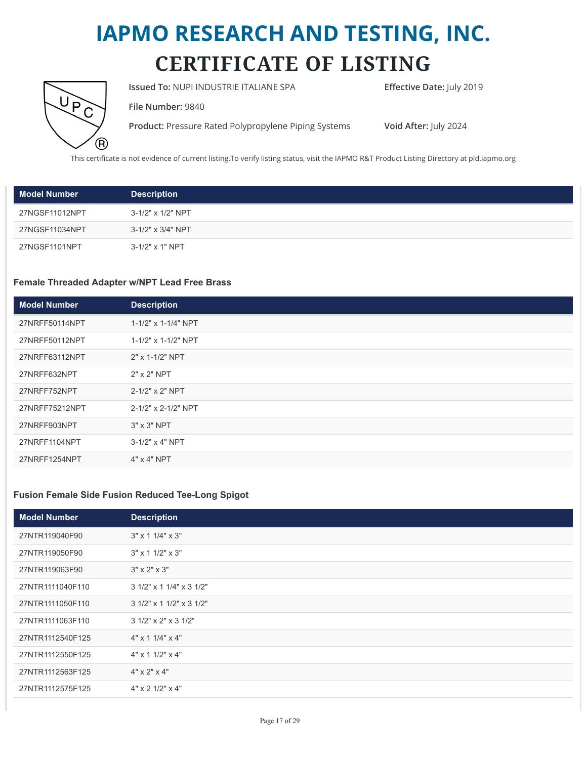

**Issued To: NUPI INDUSTRIE ITALIANE SPA Effective Date:** July 2019

**File Number:** 9840

**Product:** Pressure Rated Polypropylene Piping Systems **Void After:** July 2024

This certificate is not evidence of current listing.To verify listing status, visit the IAPMO R&T Product Listing Directory at pld.iapmo.org

| <b>Model Number</b> | <b>Description</b> |
|---------------------|--------------------|
| 27NGSF11012NPT      | 3-1/2" x 1/2" NPT  |
| 27NGSF11034NPT      | 3-1/2" x 3/4" NPT  |
| 27NGSF1101NPT       | 3-1/2" x 1" NPT    |

#### **Female Threaded Adapter w/NPT Lead Free Brass**

| <b>Model Number</b> | <b>Description</b>  |
|---------------------|---------------------|
| 27NRFF50114NPT      | 1-1/2" x 1-1/4" NPT |
| 27NRFF50112NPT      | 1-1/2" x 1-1/2" NPT |
| 27NRFF63112NPT      | 2" x 1-1/2" NPT     |
| 27NRFF632NPT        | $2"$ x $2"$ NPT     |
| 27NRFF752NPT        | 2-1/2" x 2" NPT     |
| 27NRFF75212NPT      | 2-1/2" x 2-1/2" NPT |
| 27NRFF903NPT        | $3" \times 3"$ NPT  |
| 27NRFF1104NPT       | 3-1/2" x 4" NPT     |
| 27NRFF1254NPT       | $4" \times 4"$ NPT  |

#### **Fusion Female Side Fusion Reduced Tee-Long Spigot**

| <b>Model Number</b> | <b>Description</b>             |
|---------------------|--------------------------------|
| 27NTR119040F90      | $3" \times 11/4" \times 3"$    |
| 27NTR119050F90      | $3'' \times 11/2'' \times 3''$ |
| 27NTR119063F90      | $3" \times 2" \times 3"$       |
| 27NTR1111040F110    | 3 1/2" x 1 1/4" x 3 1/2"       |
| 27NTR1111050F110    | 3 1/2" x 1 1/2" x 3 1/2"       |
| 27NTR1111063F110    | 3 1/2" x 2" x 3 1/2"           |
| 27NTR1112540F125    | $4"$ x 1 1/4" x 4"             |
| 27NTR1112550F125    | $4"$ x 1 1/2" x 4"             |
| 27NTR1112563F125    | $4" \times 2" \times 4"$       |
| 27NTR1112575F125    | $4"$ x 2 1/2" x 4"             |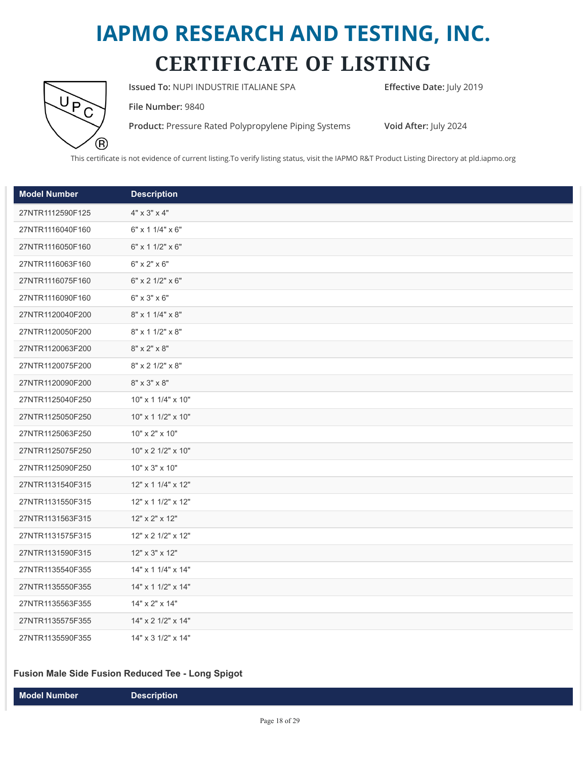

**Issued To: NUPI INDUSTRIE ITALIANE SPA <b>Effective Date:** July 2019

**File Number:** 9840

**Product:** Pressure Rated Polypropylene Piping Systems **Void After:** July 2024

This certificate is not evidence of current listing.To verify listing status, visit the IAPMO R&T Product Listing Directory at pld.iapmo.org

| <b>Model Number</b> | <b>Description</b>                    |
|---------------------|---------------------------------------|
| 27NTR1112590F125    | $4" \times 3" \times 4"$              |
| 27NTR1116040F160    | $6"$ x 1 1/4" x $6"$                  |
| 27NTR1116050F160    | $6"$ x 1 1/2" x $6"$                  |
| 27NTR1116063F160    | $6" \times 2" \times 6"$              |
| 27NTR1116075F160    | $6"$ x 2 1/2" x 6"                    |
| 27NTR1116090F160    | $6" \times 3" \times 6"$              |
| 27NTR1120040F200    | $8" \times 11/4" \times 8"$           |
| 27NTR1120050F200    | 8" x 1 1/2" x 8"                      |
| 27NTR1120063F200    | $8" \times 2" \times 8"$              |
| 27NTR1120075F200    | 8" x 2 1/2" x 8"                      |
| 27NTR1120090F200    | $8" \times 3" \times 8"$              |
| 27NTR1125040F250    | 10" x 1 1/4" x 10"                    |
| 27NTR1125050F250    | 10" x 1 1/2" x 10"                    |
| 27NTR1125063F250    | 10" x 2" x 10"                        |
| 27NTR1125075F250    | $10" \times 2 \frac{1}{2" \times 10"$ |
| 27NTR1125090F250    | 10" x 3" x 10"                        |
| 27NTR1131540F315    | $12"$ x 1 $1/4"$ x 12"                |
| 27NTR1131550F315    | $12"$ x 1 $1/2"$ x 12"                |
| 27NTR1131563F315    | 12" x 2" x 12"                        |
| 27NTR1131575F315    | 12" x 2 1/2" x 12"                    |
| 27NTR1131590F315    | 12" x 3" x 12"                        |
| 27NTR1135540F355    | $14" \times 11/4" \times 14"$         |
| 27NTR1135550F355    | $14" \times 11/2" \times 14"$         |
| 27NTR1135563F355    | 14" x 2" x 14"                        |
| 27NTR1135575F355    | $14" \times 2$ $1/2" \times 14"$      |
| 27NTR1135590F355    | 14" x 3 1/2" x 14"                    |

#### **Fusion Male Side Fusion Reduced Tee - Long Spigot**

| Model Number \ | <b>Description</b> |
|----------------|--------------------|
|----------------|--------------------|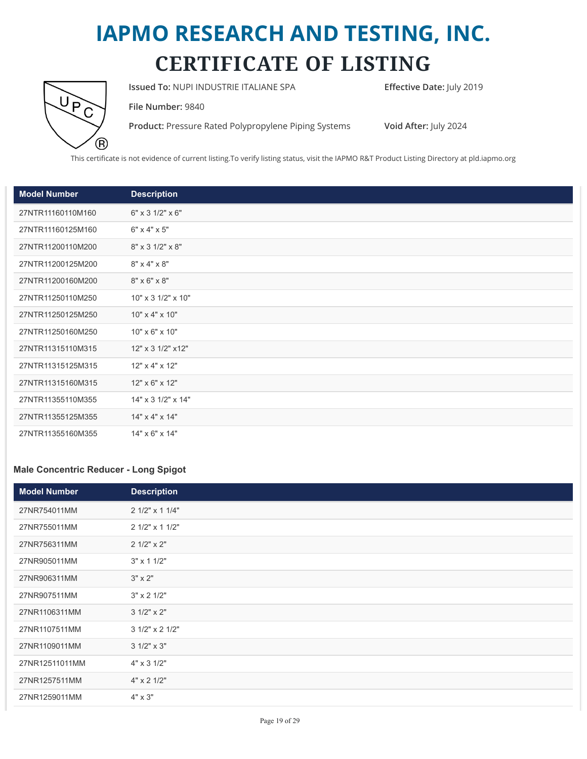

**Issued To: NUPI INDUSTRIE ITALIANE SPA <b>Effective Date:** July 2019

**File Number:** 9840

**Product:** Pressure Rated Polypropylene Piping Systems **Void After:** July 2024

This certificate is not evidence of current listing.To verify listing status, visit the IAPMO R&T Product Listing Directory at pld.iapmo.org

| <b>Model Number</b> | <b>Description</b>                  |
|---------------------|-------------------------------------|
| 27NTR11160110M160   | $6" \times 3 \frac{1}{2" \times 6"$ |
| 27NTR11160125M160   | $6" \times 4" \times 5"$            |
| 27NTR11200110M200   | 8" x 3 1/2" x 8"                    |
| 27NTR11200125M200   | $8" \times 4" \times 8"$            |
| 27NTR11200160M200   | $8" \times 6" \times 8"$            |
| 27NTR11250110M250   | $10" \times 31/2" \times 10"$       |
| 27NTR11250125M250   | 10" x 4" x 10"                      |
| 27NTR11250160M250   | 10" x 6" x 10"                      |
| 27NTR11315110M315   | 12" x 3 1/2" x 12"                  |
| 27NTR11315125M315   | 12" x 4" x 12"                      |
| 27NTR11315160M315   | 12" x 6" x 12"                      |
| 27NTR11355110M355   | $14" \times 3$ $1/2" \times 14"$    |
| 27NTR11355125M355   | $14" \times 4" \times 14"$          |
| 27NTR11355160M355   | 14" x 6" x 14"                      |

#### **Male Concentric Reducer - Long Spigot**

| <b>Model Number</b> | <b>Description</b>  |
|---------------------|---------------------|
| 27NR754011MM        | 2 1/2" x 1 1/4"     |
| 27NR755011MM        | 2 1/2" x 1 1/2"     |
| 27NR756311MM        | 2 1/2" x 2"         |
| 27NR905011MM        | $3" \times 11/2"$   |
| 27NR906311MM        | $3" \times 2"$      |
| 27NR907511MM        | $3" \times 2' 1/2"$ |
| 27NR1106311MM       | $31/2" \times 2"$   |
| 27NR1107511MM       | 3 1/2" x 2 1/2"     |
| 27NR1109011MM       | $31/2" \times 3"$   |
| 27NR12511011MM      | 4" x 3 1/2"         |
| 27NR1257511MM       | 4" x 2 1/2"         |
| 27NR1259011MM       | 4" x 3"             |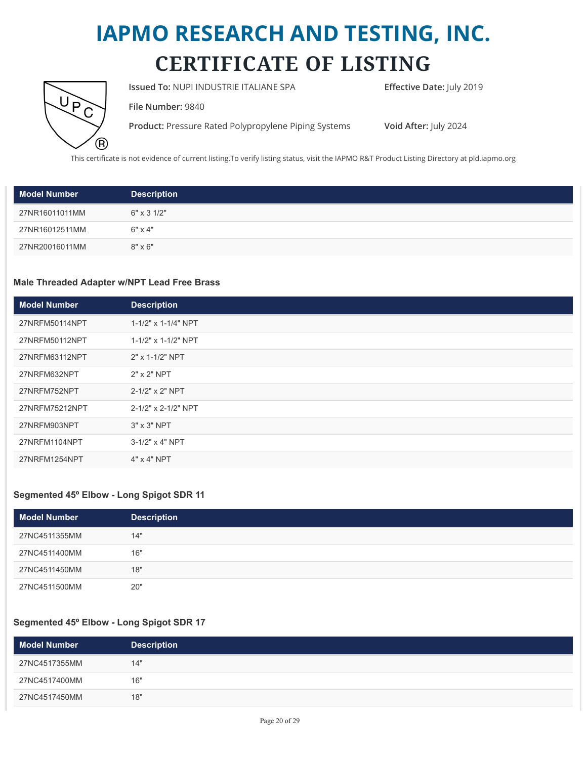

**Issued To: NUPI INDUSTRIE ITALIANE SPA Effective Date: July 2019** 

**File Number:** 9840

**Product:** Pressure Rated Polypropylene Piping Systems **Void After:** July 2024

This certificate is not evidence of current listing.To verify listing status, visit the IAPMO R&T Product Listing Directory at pld.iapmo.org

| <b>Model Number</b> | <b>Description</b>        |
|---------------------|---------------------------|
| 27NR16011011MM      | $6" \times 3 \frac{1}{2"$ |
| 27NR16012511MM      | $6" \times 4"$            |
| 27NR20016011MM      | $8" \times 6"$            |

#### **Male Threaded Adapter w/NPT Lead Free Brass**

| <b>Model Number</b> | <b>Description</b>  |
|---------------------|---------------------|
| 27NRFM50114NPT      | 1-1/2" x 1-1/4" NPT |
| 27NRFM50112NPT      | 1-1/2" x 1-1/2" NPT |
| 27NRFM63112NPT      | 2" x 1-1/2" NPT     |
| 27NRFM632NPT        | $2"$ x $2"$ NPT     |
| 27NRFM752NPT        | 2-1/2" x 2" NPT     |
| 27NRFM75212NPT      | 2-1/2" x 2-1/2" NPT |
| 27NRFM903NPT        | $3" \times 3"$ NPT  |
| 27NRFM1104NPT       | 3-1/2" x 4" NPT     |
| 27NRFM1254NPT       | $4"$ x $4"$ NPT     |

#### **Segmented 45º Elbow - Long Spigot SDR 11**

| <b>Model Number</b> | <b>Description</b> |
|---------------------|--------------------|
| 27NC4511355MM       | 14"                |
| 27NC4511400MM       | 16"                |
| 27NC4511450MM       | 18"                |
| 27NC4511500MM       | 20"                |

#### **Segmented 45º Elbow - Long Spigot SDR 17**

| <b>Model Number</b> | <b>Description</b> |
|---------------------|--------------------|
| 27NC4517355MM       | 14"                |
| 27NC4517400MM       | 16"                |
| 27NC4517450MM       | 18"                |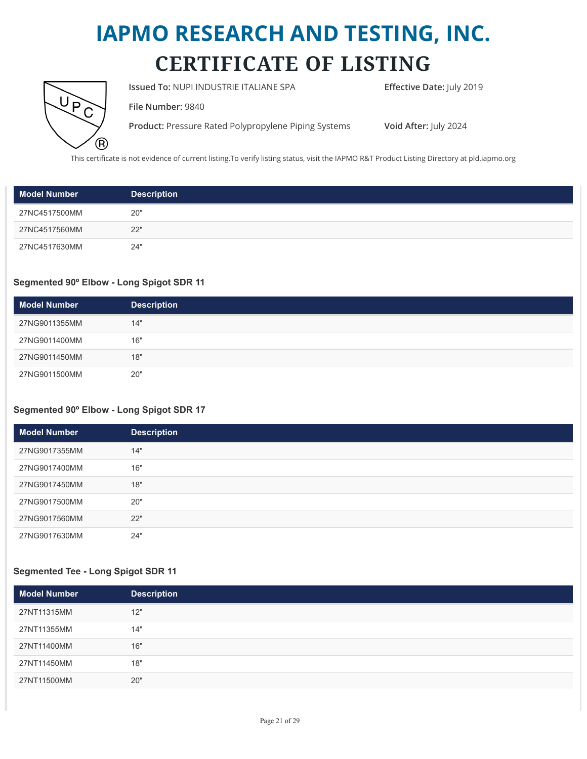

**Issued To: NUPI INDUSTRIE ITALIANE SPA Effective Date: July 2019** 

**File Number:** 9840

**Product:** Pressure Rated Polypropylene Piping Systems **Void After:** July 2024

This certificate is not evidence of current listing.To verify listing status, visit the IAPMO R&T Product Listing Directory at pld.iapmo.org

| <b>Model Number</b> | <b>Description</b> |
|---------------------|--------------------|
| 27NC4517500MM       | 20"                |
| 27NC4517560MM       | 22"                |
| 27NC4517630MM       | 24"                |

#### **Segmented 90º Elbow - Long Spigot SDR 11**

| <b>Model Number</b> | <b>Description</b> |
|---------------------|--------------------|
| 27NG9011355MM       | 14"                |
| 27NG9011400MM       | 16"                |
| 27NG9011450MM       | 18"                |
| 27NG9011500MM       | 20"                |

#### **Segmented 90º Elbow - Long Spigot SDR 17**

| <b>Model Number</b> | <b>Description</b> |
|---------------------|--------------------|
| 27NG9017355MM       | 14"                |
| 27NG9017400MM       | 16"                |
| 27NG9017450MM       | 18"                |
| 27NG9017500MM       | 20"                |
| 27NG9017560MM       | 22"                |
| 27NG9017630MM       | 24"                |

#### **Segmented Tee - Long Spigot SDR 11**

| <b>Model Number</b> | <b>Description</b> |
|---------------------|--------------------|
| 27NT11315MM         | 12"                |
| 27NT11355MM         | 14"                |
| 27NT11400MM         | 16"                |
| 27NT11450MM         | 18"                |
| 27NT11500MM         | 20"                |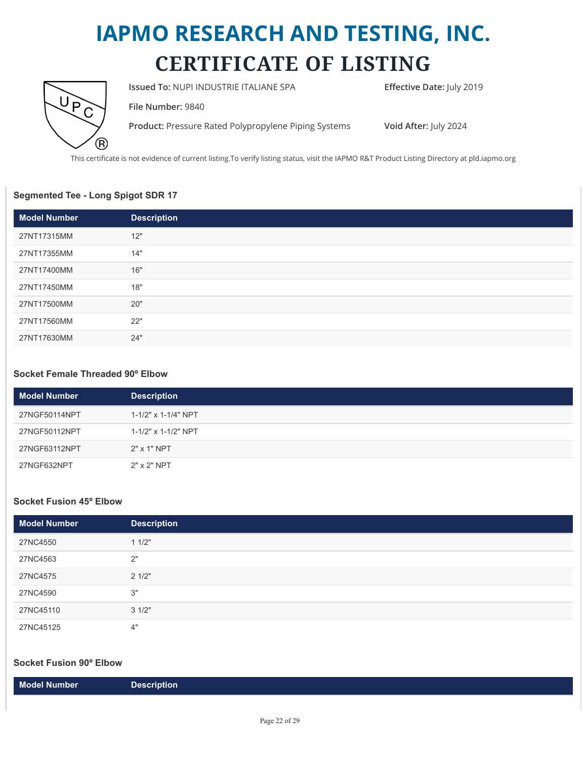

**Issued To: NUPI INDUSTRIE ITALIANE SPA Effective Date: July 2019** 

**File Number:** 9840

**Product:** Pressure Rated Polypropylene Piping Systems **Void After:** July 2024

This certificate is not evidence of current listing.To verify listing status, visit the IAPMO R&T Product Listing Directory at pld.iapmo.org

#### **Segmented Tee - Long Spigot SDR 17**

| <b>Model Number</b> | <b>Description</b> |
|---------------------|--------------------|
| 27NT17315MM         | 12"                |
| 27NT17355MM         | 14"                |
| 27NT17400MM         | 16"                |
| 27NT17450MM         | 18"                |
| 27NT17500MM         | 20"                |
| 27NT17560MM         | 22"                |
| 27NT17630MM         | 24"                |

#### **Socket Female Threaded 90º Elbow**

| <b>Model Number</b> | <b>Description</b>       |
|---------------------|--------------------------|
| 27NGF50114NPT       | $1 - 1/2$ " x 1-1/4" NPT |
| 27NGF50112NPT       | 1-1/2" x 1-1/2" NPT      |
| 27NGF63112NPT       | 2" x 1" NPT              |
| 27NGF632NPT         | 2" x 2" NPT              |

#### **Socket Fusion 45º Elbow**

| <b>Model Number</b> | <b>Description</b> |
|---------------------|--------------------|
| 27NC4550            | 11/2"              |
| 27NC4563            | 2"                 |
| 27NC4575            | 21/2"              |
| 27NC4590            | 3"                 |
| 27NC45110           | 31/2"              |
| 27NC45125           | 4"                 |

#### **Socket Fusion 90º Elbow**

|--|--|--|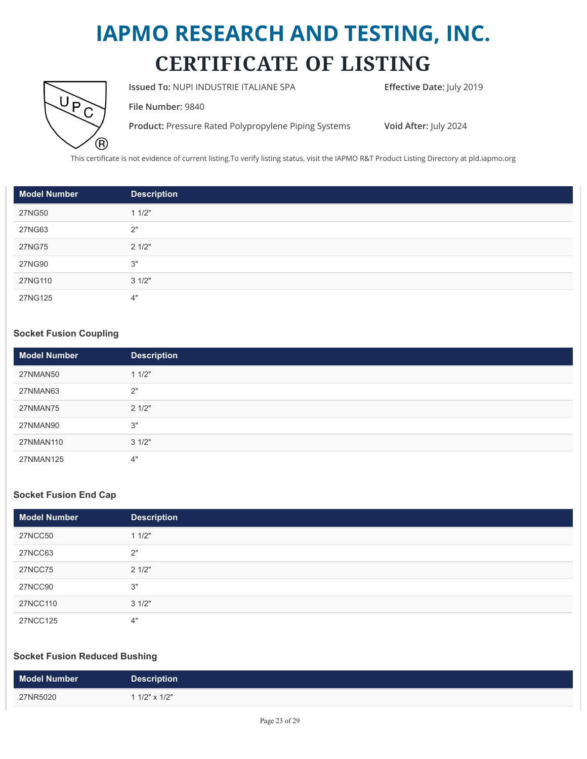

**Issued To: NUPI INDUSTRIE ITALIANE SPA Effective Date: July 2019** 

**File Number:** 9840

**Product:** Pressure Rated Polypropylene Piping Systems **Void After:** July 2024

This certificate is not evidence of current listing.To verify listing status, visit the IAPMO R&T Product Listing Directory at pld.iapmo.org

| <b>Model Number</b> | <b>Description</b> |
|---------------------|--------------------|
| 27NG50              | 11/2"              |
| 27NG63              | 2"                 |
| 27NG75              | 21/2"              |
| 27NG90              | 3"                 |
| 27NG110             | 31/2"              |
| 27NG125             | 4"                 |

#### **Socket Fusion Coupling**

| <b>Model Number</b> | <b>Description</b> |
|---------------------|--------------------|
| 27NMAN50            | 11/2"              |
| 27NMAN63            | 2"                 |
| 27NMAN75            | 21/2"              |
| 27NMAN90            | 3"                 |
| 27NMAN110           | 31/2"              |
| 27NMAN125           | 4"                 |

#### **Socket Fusion End Cap**

| <b>Model Number</b> | <b>Description</b> |
|---------------------|--------------------|
| <b>27NCC50</b>      | 11/2"              |
| <b>27NCC63</b>      | 2"                 |
| 27NCC75             | 21/2"              |
| 27NCC90             | 3"                 |
| 27NCC110            | 31/2"              |
| 27NCC125            | 4"                 |

#### **Socket Fusion Reduced Bushing**

| <b>Model Number</b> | <b>Description</b> |
|---------------------|--------------------|
| 27NR5020            | 1 1/2" x 1/2"      |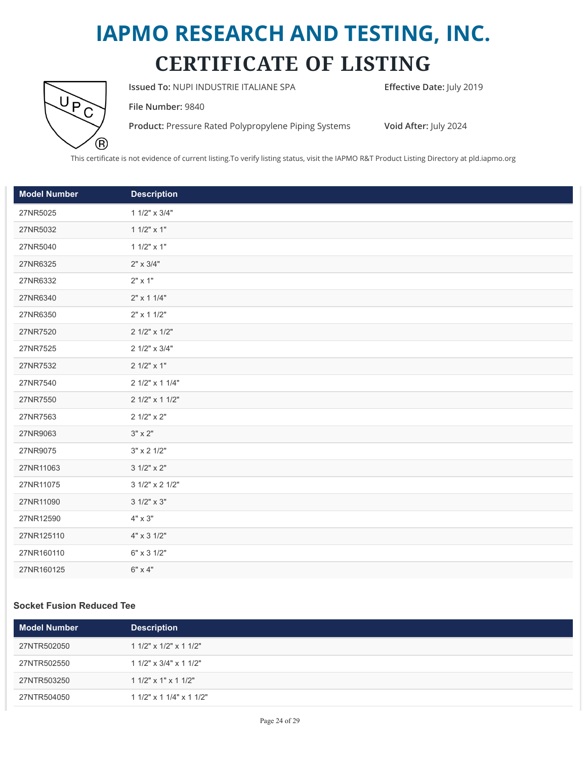

**Issued To: NUPI INDUSTRIE ITALIANE SPA <b>Effective Date:** July 2019

**File Number:** 9840

**Product:** Pressure Rated Polypropylene Piping Systems **Void After:** July 2024

This certificate is not evidence of current listing.To verify listing status, visit the IAPMO R&T Product Listing Directory at pld.iapmo.org

| <b>Model Number</b> | <b>Description</b>  |
|---------------------|---------------------|
| 27NR5025            | 1 1/2" x 3/4"       |
| 27NR5032            | $11/2" \times 1"$   |
| 27NR5040            | $11/2" \times 1"$   |
| 27NR6325            | $2" \times 3/4"$    |
| 27NR6332            | $2" \times 1"$      |
| 27NR6340            | $2" \times 11/4"$   |
| 27NR6350            | 2" x 1 1/2"         |
| 27NR7520            | 2 1/2" x 1/2"       |
| 27NR7525            | 2 1/2" x 3/4"       |
| 27NR7532            | 2 1/2" x 1"         |
| 27NR7540            | 2 1/2" x 1 1/4"     |
| 27NR7550            | 2 1/2" x 1 1/2"     |
| 27NR7563            | 2 1/2" x 2"         |
| 27NR9063            | $3" \times 2"$      |
| 27NR9075            | $3" \times 2' 1/2"$ |
| 27NR11063           | 3 1/2" x 2"         |
| 27NR11075           | 3 1/2" x 2 1/2"     |
| 27NR11090           | $31/2" \times 3"$   |
| 27NR12590           | $4" \times 3"$      |
| 27NR125110          | 4" x 3 1/2"         |
| 27NR160110          | 6" x 3 1/2"         |
| 27NR160125          | $6" \times 4"$      |

#### **Socket Fusion Reduced Tee**

| <b>Model Number</b> | <b>Description</b>             |
|---------------------|--------------------------------|
| 27NTR502050         | $11/2$ " x $1/2$ " x $11/2$ "  |
| 27NTR502550         | $11/2$ " x $3/4$ " x $11/2$ "  |
| 27NTR503250         | $11/2$ " x $1$ " x $11/2$ "    |
| 27NTR504050         | $11/2$ " x $11/4$ " x $11/2$ " |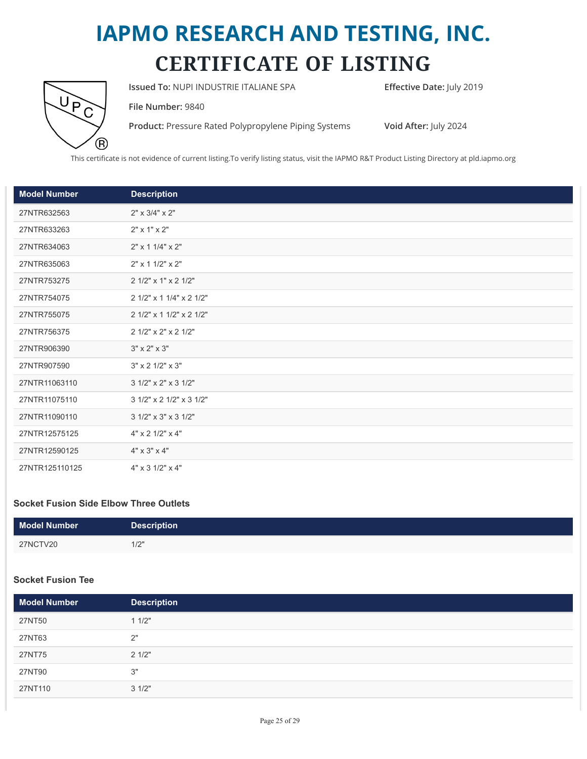

**Issued To: NUPI INDUSTRIE ITALIANE SPA Effective Date: July 2019** 

**File Number:** 9840

**Product:** Pressure Rated Polypropylene Piping Systems **Void After:** July 2024

This certificate is not evidence of current listing.To verify listing status, visit the IAPMO R&T Product Listing Directory at pld.iapmo.org

| <b>Model Number</b> | <b>Description</b>                  |
|---------------------|-------------------------------------|
| 27NTR632563         | $2" \times 3/4" \times 2"$          |
| 27NTR633263         | $2" \times 1" \times 2"$            |
| 27NTR634063         | $2" \times 11/4" \times 2"$         |
| 27NTR635063         | 2" x 1 1/2" x 2"                    |
| 27NTR753275         | 2 1/2" x 1" x 2 1/2"                |
| 27NTR754075         | 2 1/2" x 1 1/4" x 2 1/2"            |
| 27NTR755075         | 2 1/2" x 1 1/2" x 2 1/2"            |
| 27NTR756375         | 2 1/2" x 2" x 2 1/2"                |
| 27NTR906390         | $3" \times 2" \times 3"$            |
| 27NTR907590         | $3" \times 2' 1/2" \times 3"$       |
| 27NTR11063110       | 3 1/2" x 2" x 3 1/2"                |
| 27NTR11075110       | 3 1/2" x 2 1/2" x 3 1/2"            |
| 27NTR11090110       | $31/2$ " x $3$ " x $31/2$ "         |
| 27NTR12575125       | $4" \times 2' 1/2" \times 4"$       |
| 27NTR12590125       | $4" \times 3" \times 4"$            |
| 27NTR125110125      | $4" \times 3 \frac{1}{2" \times 4"$ |

#### **Socket Fusion Side Elbow Three Outlets**

| <b>Model Number</b> | <b>Description</b> |
|---------------------|--------------------|
| 27NCTV20            | 1/2"               |

#### **Socket Fusion Tee**

| <b>Model Number</b> | <b>Description</b> |
|---------------------|--------------------|
| 27NT50              | 11/2"              |
| 27NT63              | 2"                 |
| 27NT75              | 21/2"              |
| 27NT90              | 3"                 |
| 27NT110             | 31/2"              |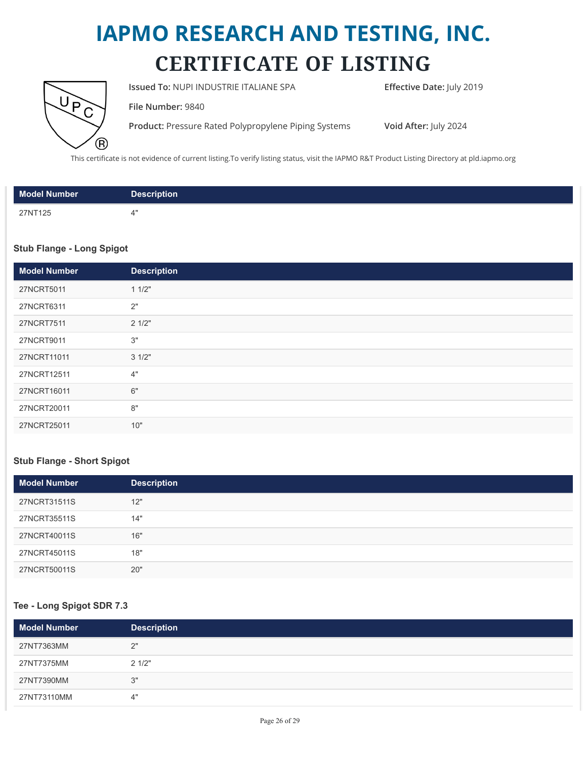

**Issued To: NUPI INDUSTRIE ITALIANE SPA Effective Date: July 2019** 

**File Number:** 9840

**Product:** Pressure Rated Polypropylene Piping Systems **Void After:** July 2024

This certificate is not evidence of current listing.To verify listing status, visit the IAPMO R&T Product Listing Directory at pld.iapmo.org

| Model Number | <b>Description</b> |
|--------------|--------------------|
| 27NT125      | ∕'                 |

#### **Stub Flange - Long Spigot**

| <b>Model Number</b> | <b>Description</b> |
|---------------------|--------------------|
| 27NCRT5011          | 11/2"              |
| 27NCRT6311          | 2"                 |
| 27NCRT7511          | 21/2"              |
| 27NCRT9011          | 3"                 |
| 27NCRT11011         | 31/2"              |
| 27NCRT12511         | 4"                 |
| 27NCRT16011         | 6"                 |
| 27NCRT20011         | 8"                 |
| 27NCRT25011         | 10"                |

#### **Stub Flange - Short Spigot**

| <b>Model Number</b> | <b>Description</b> |
|---------------------|--------------------|
| 27NCRT31511S        | 12"                |
| 27NCRT35511S        | 14"                |
| 27NCRT40011S        | 16"                |
| 27NCRT45011S        | 18"                |
| 27NCRT50011S        | 20"                |

#### **Tee - Long Spigot SDR 7.3**

| <b>Model Number</b> | <b>Description</b> |
|---------------------|--------------------|
| 27NT7363MM          | 2"                 |
| 27NT7375MM          | 21/2"              |
| 27NT7390MM          | 3"                 |
| 27NT73110MM         | 4"                 |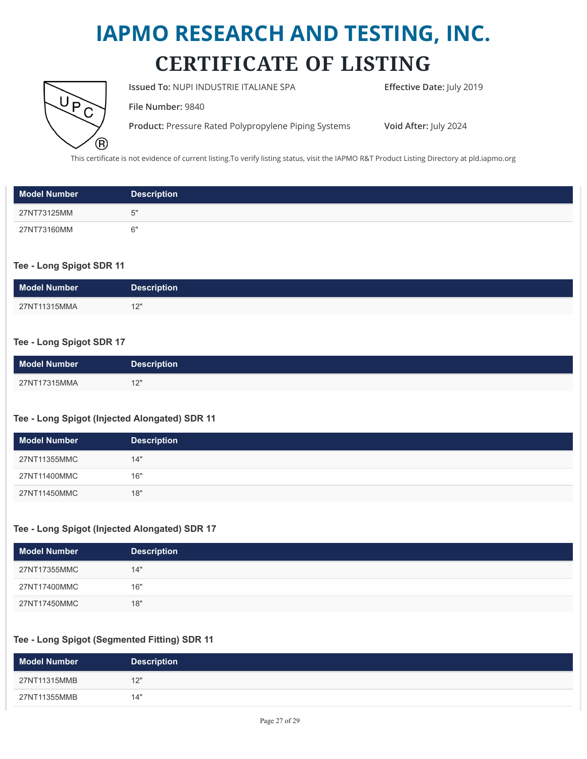

**Issued To: NUPI INDUSTRIE ITALIANE SPA Effective Date: July 2019** 

**File Number:** 9840

**Product:** Pressure Rated Polypropylene Piping Systems **Void After:** July 2024

This certificate is not evidence of current listing.To verify listing status, visit the IAPMO R&T Product Listing Directory at pld.iapmo.org

| <b>Model Number</b> | <b>Description</b> |
|---------------------|--------------------|
| 27NT73125MM         | ᅜ                  |
| 27NT73160MM         |                    |

#### **Tee - Long Spigot SDR 11**

| <b>Model Number</b> | <b>Description</b> |
|---------------------|--------------------|
| 27NT11315MMA        | 101<br>ے ا         |

#### **Tee - Long Spigot SDR 17**

| <b>Model Number</b> | <b>Description</b> |
|---------------------|--------------------|
| 27NT17315MMA        | 12"<br>--          |

#### **Tee - Long Spigot (Injected Alongated) SDR 11**

| <b>Model Number</b> | <b>Description</b> |
|---------------------|--------------------|
| 27NT11355MMC        | 14"                |
| 27NT11400MMC        | 16"                |
| 27NT11450MMC        | 18"                |

#### **Tee - Long Spigot (Injected Alongated) SDR 17**

| <b>Model Number</b> | <b>Description</b> |
|---------------------|--------------------|
| 27NT17355MMC        | 14"                |
| 27NT17400MMC        | 16"                |
| 27NT17450MMC        | 18"                |

#### **Tee - Long Spigot (Segmented Fitting) SDR 11**

| <b>Model Number</b> | <b>Description</b> |
|---------------------|--------------------|
| 27NT11315MMB        | 12"                |
| 27NT11355MMB        | 14"                |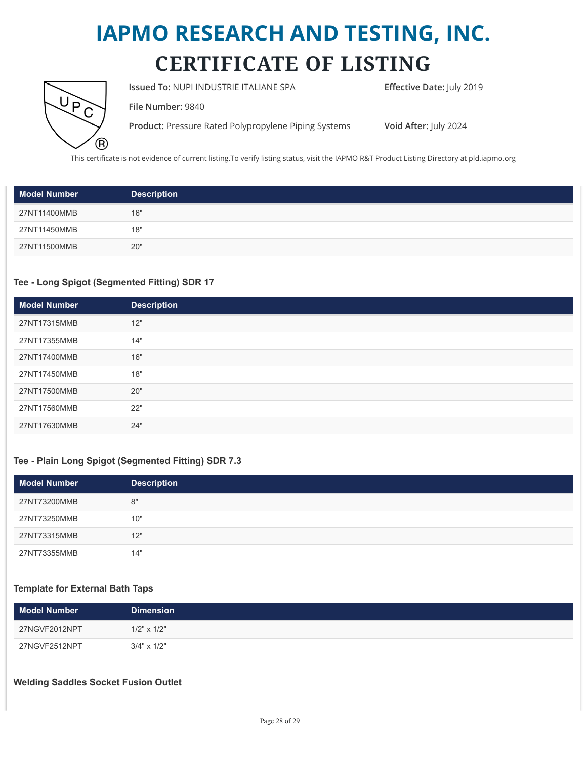

**Issued To: NUPI INDUSTRIE ITALIANE SPA Effective Date: July 2019** 

**File Number:** 9840

**Product:** Pressure Rated Polypropylene Piping Systems **Void After:** July 2024

This certificate is not evidence of current listing.To verify listing status, visit the IAPMO R&T Product Listing Directory at pld.iapmo.org

| <b>Model Number</b> | <b>Description</b> |
|---------------------|--------------------|
| 27NT11400MMB        | 16"                |
| 27NT11450MMB        | 18"                |
| 27NT11500MMB        | 20"                |

#### **Tee - Long Spigot (Segmented Fitting) SDR 17**

| <b>Model Number</b> | <b>Description</b> |
|---------------------|--------------------|
| 27NT17315MMB        | 12"                |
| 27NT17355MMB        | 14"                |
| 27NT17400MMB        | 16"                |
| 27NT17450MMB        | 18"                |
| 27NT17500MMB        | 20"                |
| 27NT17560MMB        | 22"                |
| 27NT17630MMB        | 24"                |

#### **Tee - Plain Long Spigot (Segmented Fitting) SDR 7.3**

| <b>Model Number</b> | <b>Description</b> |
|---------------------|--------------------|
| 27NT73200MMB        | 8"                 |
| 27NT73250MMB        | 10"                |
| 27NT73315MMB        | 12"                |
| 27NT73355MMB        | 14"                |

#### **Template for External Bath Taps**

| <b>Model Number</b> | <b>Dimension</b>   |
|---------------------|--------------------|
| 27NGVF2012NPT       | $1/2" \times 1/2"$ |
| 27NGVF2512NPT       | $3/4" \times 1/2"$ |

#### **Welding Saddles Socket Fusion Outlet**